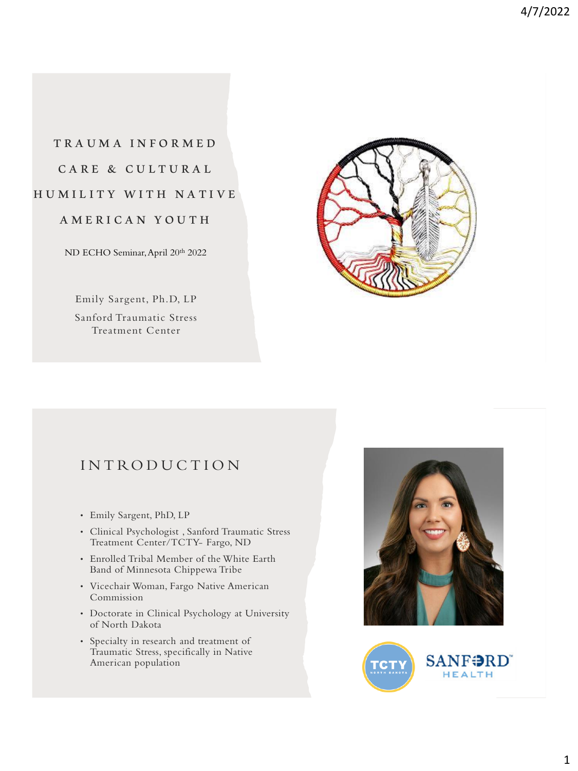# T R A U M A I N F O R M E D CARE & CULTURAL HUMILITY WITH NATIVE

A M E R I C A N Y O U T H

ND ECHO Seminar, April 20th 2022

Emily Sargent, Ph.D, LP Sanford Traumatic Stress Treatment Center



## **INTRODUCTION**

- Emily Sargent, PhD, LP
- Clinical Psychologist , Sanford Traumatic Stress Treatment Center/TCTY- Fargo, ND
- Enrolled Tribal Member of the White Earth Band of Minnesota Chippewa Tribe
- Vicechair Woman, Fargo Native American Commission
- Doctorate in Clinical Psychology at University of North Dakota
- Specialty in research and treatment of Traumatic Stress, specifically in Native American population



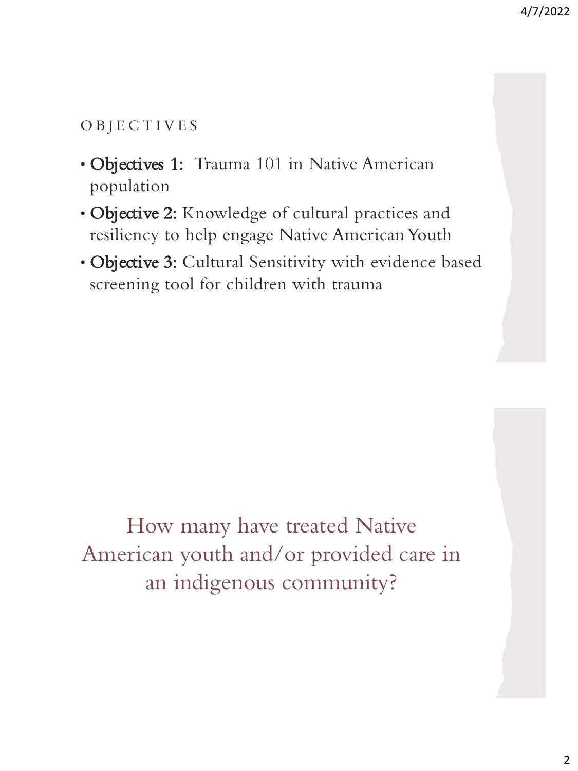# O B J E C T I V E S

- Objectives 1: Trauma 101 in Native American population
- Objective 2: Knowledge of cultural practices and resiliency to help engage Native American Youth
- Objective 3: Cultural Sensitivity with evidence based screening tool for children with trauma

How many have treated Native American youth and/or provided care in an indigenous community?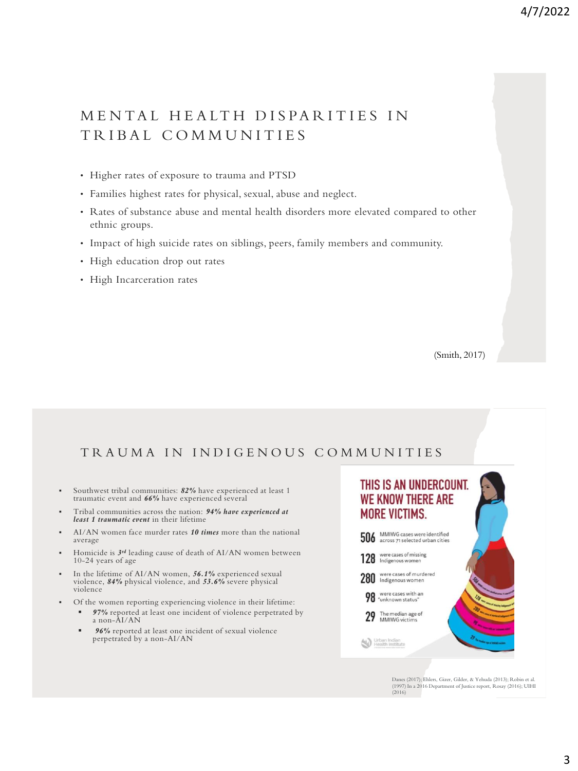# MENTAL HEALTH DISPARITIES IN T R I B A L C O M M U N I T I E S

- Higher rates of exposure to trauma and PTSD
- Families highest rates for physical, sexual, abuse and neglect.
- Rates of substance abuse and mental health disorders more elevated compared to other ethnic groups.
- Impact of high suicide rates on siblings, peers, family members and community.
- High education drop out rates
- High Incarceration rates

(Smith, 2017)

## TRAUMA IN INDIGENOUS COMMUNITIES

- Southwest tribal communities: 82% have experienced at least 1 traumatic event and *66%* have experienced several
- Tribal communities across the nation: *94% have experienced at least 1 traumatic event* in their lifetime
- AI/AN women face murder rates 10 times more than the national average
- **•** Homicide is  $3^{rd}$  leading cause of death of AI/AN women between 10-24 years of age
- In the lifetime of AI/AN women, *56.1%* experienced sexual violence, *84%* physical violence, and *53.6%* severe physical violence
- Of the women reporting experiencing violence in their lifetime:
	- *97%* reported at least one incident of violence perpetrated by a non-AI/AN
	- **96%** reported at least one incident of sexual violence perpetrated by a non-AI/AN



Danes (2017); Ehlers, Gizer, Gilder, & Yehuda (2013); Robin et al. (1997) In a 2016 Department of Justice report, Rosay (2016); UIHI (2016)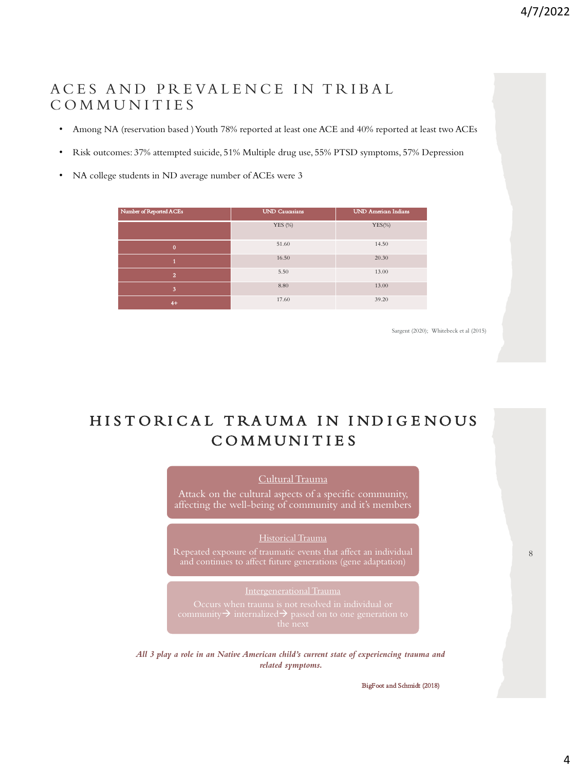## ACES AND PREVALENCE IN TRIBAL C O M M U N I T I E S

- Among NA (reservation based ) Youth 78% reported at least one ACE and 40% reported at least two ACEs
- Risk outcomes: 37% attempted suicide, 51% Multiple drug use, 55% PTSD symptoms, 57% Depression
- NA college students in ND average number of ACEs were 3

| Number of Reported ACEs | <b>UND Caucasians</b> | <b>UND American Indians</b> |  |
|-------------------------|-----------------------|-----------------------------|--|
|                         | <b>YES</b> (%)        | $YES(\%)$                   |  |
| $\mathbf{0}$            | 51.60                 | 14.50                       |  |
|                         | 16.50                 | 20.30                       |  |
| $\overline{2}$          | 5.50                  | 13.00                       |  |
| 3                       | 8.80                  | 13.00                       |  |
| $4+$                    | 17.60                 | 39.20                       |  |

Sargent (2020); Whitebeck et al (2015)

# HISTORICAL TRAUMA IN INDIGENOUS **COMMUNITIES**

#### Cultural Trauma

Attack on the cultural aspects of a specific community, affecting the well-being of community and it's members

#### Historical Trauma

Repeated exposure of traumatic events that affect an individual

#### Intergenerational Trauma

*All 3 play a role in an Native American child's current state of experiencing trauma and related symptoms.* 

BigFoot and Schmidt (2018)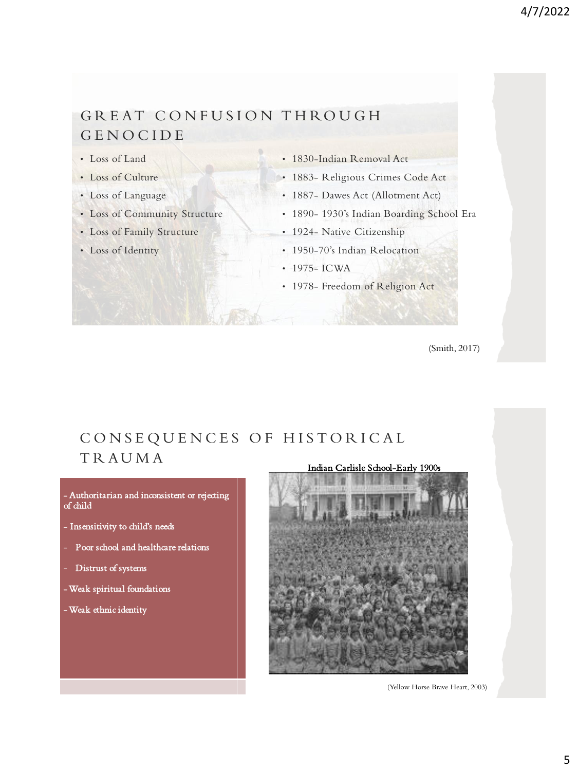# GREAT CONFUSION THROUGH **GENOCIDE**

- Loss of Land
- Loss of Culture
- Loss of Language
- Loss of Community Structure
- Loss of Family Structure
- Loss of Identity
- 1830-Indian Removal Act
- 1883- Religious Crimes Code Act
- 1887- Dawes Act (Allotment Act)
- 1890- 1930's Indian Boarding School Era
- 1924- Native Citizenship
- 1950-70's Indian Relocation
- 1975- ICWA
- 1978- Freedom of Religion Act

(Smith, 2017)

## CONSEQUENCES OF HISTORICAL **TRAUMA** Indian Carlisle School-Early 1900s

- Authoritarian and inconsistent or rejecting of child

- Insensitivity to child's needs
- Poor school and healthcare relations
- Distrust of systems
- -Weak spiritual foundations
- -Weak ethnic identity

(Yellow Horse Brave Heart, 2003)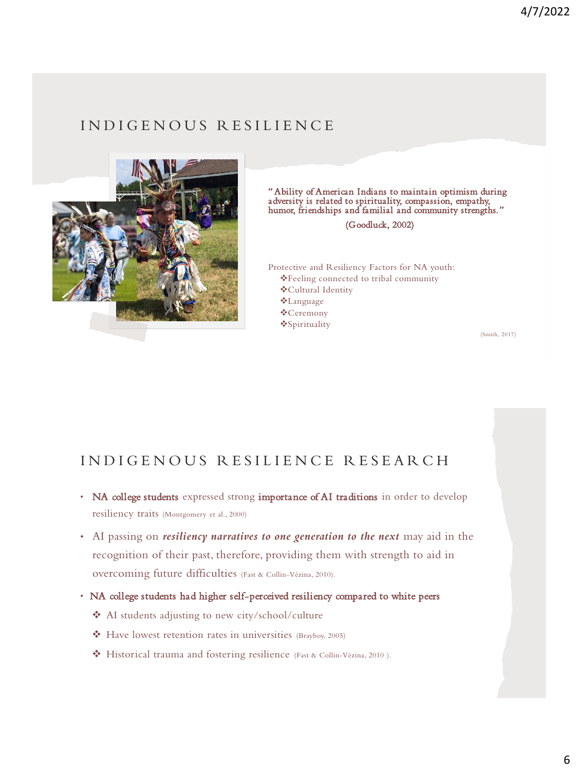# I N D I G E N O U S R E S I L I E N C E



" Ability of American Indians to maintain optimism during adversity is related to spirituality, compassion, empathy, humor, friendships and familial and community strengths."

(Goodluck, 2002)

Protective and Resiliency Factors for NA youth: ❖Feeling connected to tribal community ❖Cultural Identity ❖Language ❖Ceremony ❖Spirituality

(Smith, 2017)

# INDIGENOUS RESILIENCE RESEARCH

- NA college students expressed strong importance of AI traditions in order to develop resiliency traits (Montgomery et al., 2000)
- AI passing on *resiliency narratives to one generation to the next* may aid in the recognition of their past, therefore, providing them with strength to aid in overcoming future difficulties (Fast & Collin-Vézina, 2010).
- NA college students had higher self-perceived resiliency compared to white peers
	- ❖ AI students adjusting to new city/school/culture
	- ❖ Have lowest retention rates in universities (Brayboy, 2005)
	- ❖ Historical trauma and fostering resilience (Fast & Collin-Vézina, 2010 ).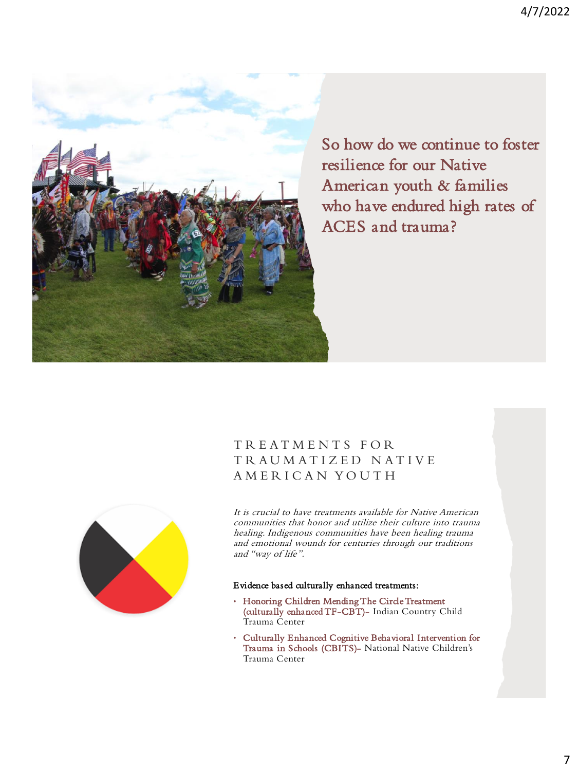

So how do we continue to foster resilience for our Native American youth & families who have endured high rates of ACES and trauma?

## T R E A T M E N T S F O R T R A U M A T I Z E D N A T I V E A M E R I C A N Y O U T H



It is crucial to have treatments available for Native American communities that honor and utilize their culture into trauma healing. Indigenous communities have been healing trauma and emotional wounds for centuries through our traditions and "way of life".

#### Evidence based culturally enhanced treatments:

- Honoring Children Mending The Circle Treatment (culturally enhanced TF-CBT)- Indian Country Child Trauma Center
- Culturally Enhanced Cognitive Behavioral Intervention for Trauma in Schools (CBITS)- National Native Children's Trauma Center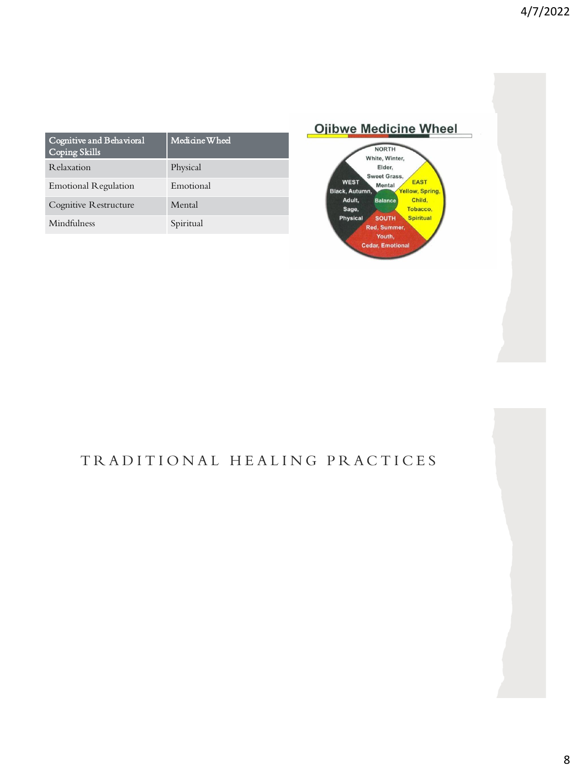| Cognitive and Behavioral<br><b>Coping Skills</b> | Medicine Wheel |
|--------------------------------------------------|----------------|
| Relaxation                                       | Physical       |
| <b>Emotional Regulation</b>                      | Emotional      |
| Cognitive Restructure                            | Mental         |
| Mindfulness                                      | Spiritual      |



# TRADITIONAL HEALING PRACTICES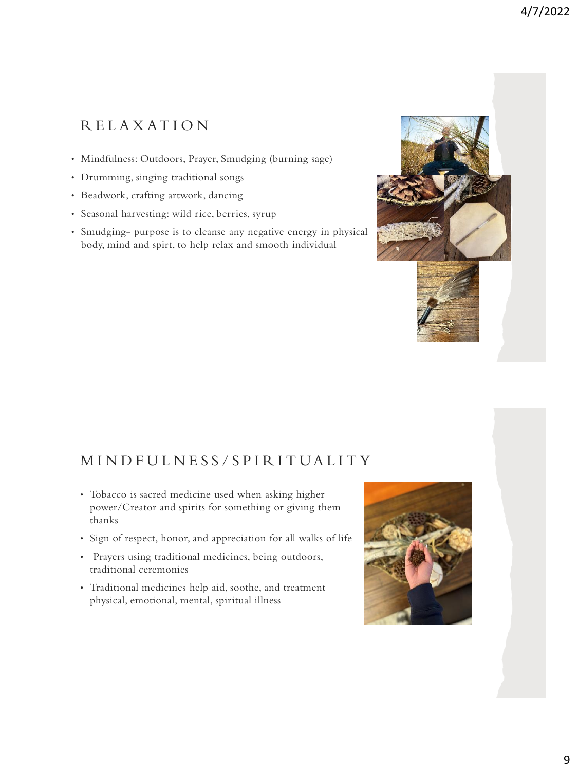# R E L A X AT I O N

- Mindfulness: Outdoors, Prayer, Smudging (burning sage)
- Drumming, singing traditional songs
- Beadwork, crafting artwork, dancing
- Seasonal harvesting: wild rice, berries, syrup
- Smudging- purpose is to cleanse any negative energy in physical body, mind and spirt, to help relax and smooth individual

# M I N D F U L N E S S / S P I R I T U A L I T Y

- Tobacco is sacred medicine used when asking higher power/Creator and spirits for something or giving them thanks
- Sign of respect, honor, and appreciation for all walks of life
- Prayers using traditional medicines, being outdoors, traditional ceremonies
- Traditional medicines help aid, soothe, and treatment physical, emotional, mental, spiritual illness

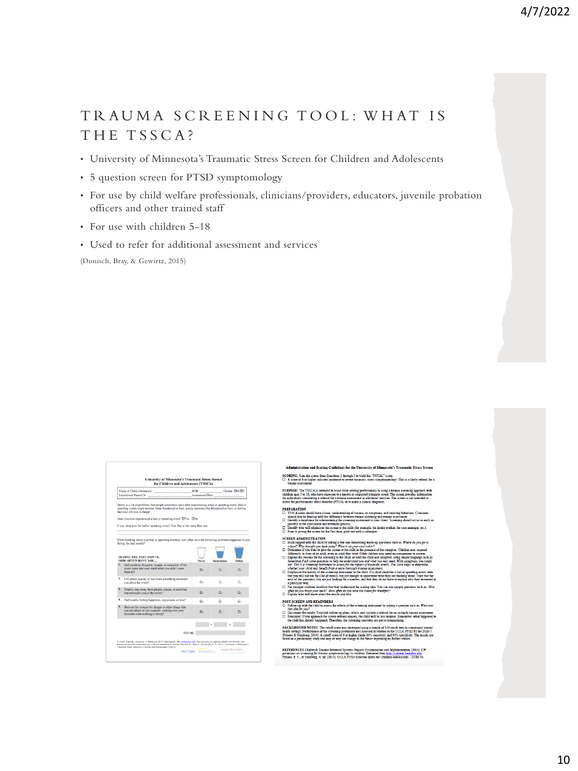# TRAUMA SCREENING TOOL: WHAT IS THE TSSCA?

- University of Minnesota's Traumatic Stress Screen for Children and Adolescents
- 5 question screen for PTSD symptomology
- For use by child welfare professionals, clinicians/providers, educators, juvenile probation officers and other trained staff
- For use with children 5-18
- Used to refer for additional assessment and services

(Donisch, Bray, & Gewirtz, 2015)

|    | Name of Child/Adolescent: Manual Assets of Child Adolescent:<br>Interviewer Name/ID: The Contract of the Contract of the Contract of the Contract of the Contract of the Contract of the Contract of the Contract of the Contract of the Contract of the Contract of the Contract of the Contr | Assessment Date: | DOB: Gender: OM OF |       |
|----|------------------------------------------------------------------------------------------------------------------------------------------------------------------------------------------------------------------------------------------------------------------------------------------------|------------------|--------------------|-------|
|    | Below is a list of problems that people sometimes have after experiencing a bad or upsetting event. Bad or<br>upsetting events might include being threatened or hurt, seeing someone else threatened or hurt, or feeling<br>like your life was in danger.                                     |                  |                    |       |
|    | Have you ever experienced a bad or upsetting event? CIYes CINo                                                                                                                                                                                                                                 |                  |                    |       |
|    | If yes, what was the bad or upsetting event? Feel free to list more than one.                                                                                                                                                                                                                  |                  |                    |       |
|    | during the past month?<br><b>DURING THE PAST MONTH.</b><br>HOW OFTEN HAVE YOU                                                                                                                                                                                                                  | Never            | <b>Sometimes</b>   | Often |
|    | 1. Had upsetting thoughts, images, or memories of the<br>event come into your mind when you didn't want<br>them to?                                                                                                                                                                            | $\Box$           | $\Box$             | n.    |
|    | 2. Felt afraid, scared, or sad when something reminded<br>you about the event?                                                                                                                                                                                                                 | о.               | o.                 | о,    |
| 3. | Tried to stay away from people, places, or activities<br>that reminded you of the event?                                                                                                                                                                                                       | о.               | o.                 | o,    |
| 4. | Had trouble feeling happiness, enjoyment, or love?                                                                                                                                                                                                                                             | п.               | o.                 | o.    |
| 5. | Been on the lookout for danger or other things that<br>you are afraid of (for example, looking over your<br>shoulder when nothing is there)?                                                                                                                                                   | о.               | o.                 | o.    |
|    |                                                                                                                                                                                                                                                                                                |                  |                    |       |
|    | TOTAL.                                                                                                                                                                                                                                                                                         |                  |                    |       |

elle af M tions 1 through 5 to yield the "TOTAL" score:<br>derate to severe traumatic stress symptomatology. This is a l  ${\bf SCORING: Sum\ the \ scores\ from\ Quest}\\ \square\ \ A\ score\ of\ 6\ or\ higher\ indicates\ mode\\$ 

**URPOSE:** The TSSCA is intended to as:<br>uldren ages 5 to 18, who have exposure t<br>r individuals considering a referral for a

#### **PERADATION**

- ould have a basic u ine the doccur as early
- s.<br>hild (for example, the in<br>t test with a colleague. etc.) will administer the screen<br>the screen for the first t
- SCREEN ADMINISTRATION<br> $\square$  Build typpert with the child by asking a  $\triangle$ <br>school? We have been here to fine at
	-
- $\overline{a}$
- 
- 
- **brush your teeth?** E
- **SCREEN AND REMINDER**<br>pllow-up with the child to assess Ã
- u?<br>results. Establi<br>ou approach th

**DUND NOTES:** The cutoff score was depthenent of the screening instruments of the stream of 6 or 1<br>Steinberg, 2014). A cutoff score of 6 or 1<br>scaling strategies and may as may not che he UCLA PT

REFERENCES Chadwick Trauma-Informed Systems Project-Dissemination and Implementation (2014). Cl<br>guidelines on screening for trauma symptomatology in children. Retrieved from http://alaway.bekeley.edu.<br>Pynoos, R. S., & Stei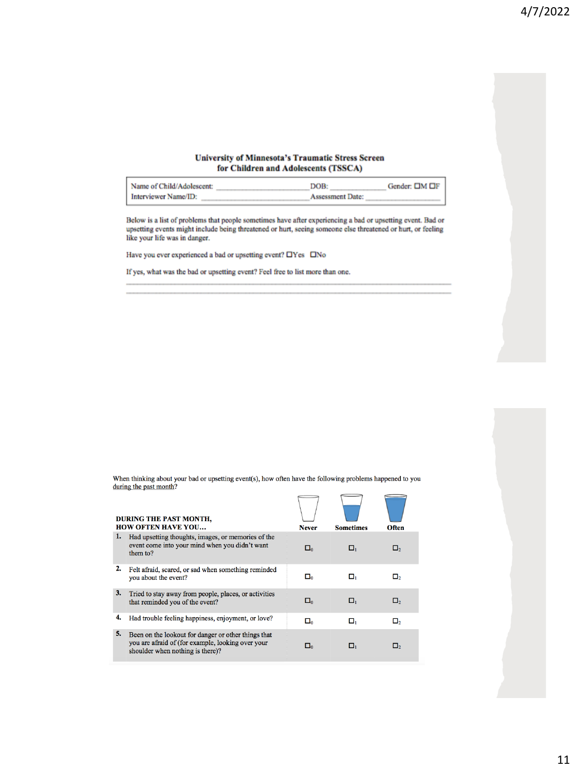#### **University of Minnesota's Traumatic Stress Screen** for Children and Adolescents (TSSCA)

| Name of Child/Adolescent: | DOB:                    | Gender: OM OF |
|---------------------------|-------------------------|---------------|
| Interviewer Name/ID:      | <b>Assessment Date:</b> |               |

Below is a list of problems that people sometimes have after experiencing a bad or upsetting event. Bad or upsetting events might include being threatened or hurt, seeing someone else threatened or hurt, or feeling like your life was in danger.

Have you ever experienced a bad or upsetting event?  $\Box$ Yes  $\Box$ No

If yes, what was the bad or upsetting event? Feel free to list more than one.

When thinking about your bad or upsetting event(s), how often have the following problems happened to you during the past month?

|    | <b>DURING THE PAST MONTH.</b><br><b>HOW OFTEN HAVE YOU</b>                                                                                   | <b>Never</b>  | <b>Sometimes</b> | Often    |
|----|----------------------------------------------------------------------------------------------------------------------------------------------|---------------|------------------|----------|
| 1. | Had upsetting thoughts, images, or memories of the<br>event come into your mind when you didn't want<br>them to?                             | $\square_0$   | о,               | $\Box_2$ |
| 2. | Felt afraid, scared, or sad when something reminded<br>you about the event?                                                                  | ۵۰            | о.               | $\Box$   |
| 3. | Tried to stay away from people, places, or activities<br>that reminded you of the event?                                                     | $\square_{0}$ | о,               | п,       |
| 4. | Had trouble feeling happiness, enjoyment, or love?                                                                                           | О.            | о,               | О,       |
| 5. | Been on the lookout for danger or other things that<br>you are afraid of (for example, looking over your<br>shoulder when nothing is there)? | Π۵            | о.               | O,       |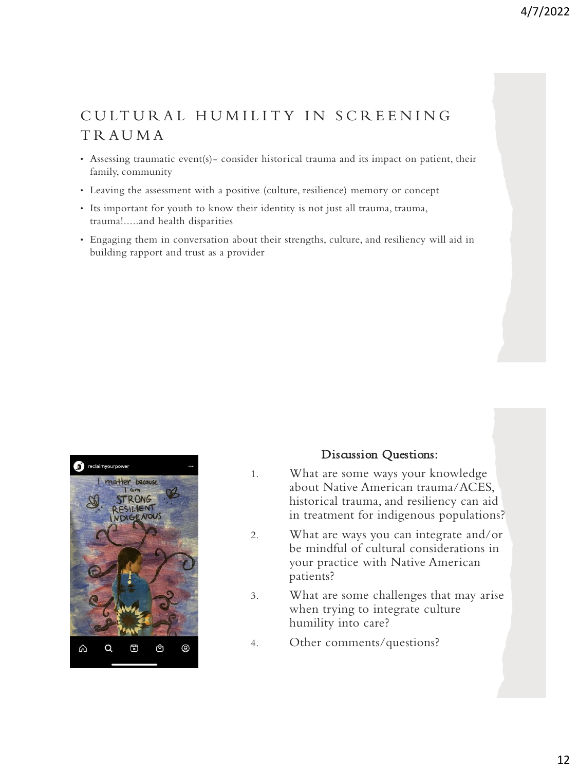# CULTURAL HUMILITY IN SCREENING T R A U M A

- Assessing traumatic event(s)- consider historical trauma and its impact on patient, their family, community
- Leaving the assessment with a positive (culture, resilience) memory or concept
- Its important for youth to know their identity is not just all trauma, trauma, trauma!.....and health disparities
- Engaging them in conversation about their strengths, culture, and resiliency will aid in building rapport and trust as a provider



## Discussion Questions:

- 1. What are some ways your knowledge about Native American trauma/ACES, historical trauma, and resiliency can aid in treatment for indigenous populations?
- 2. What are ways you can integrate and/or be mindful of cultural considerations in your practice with Native American patients?
- 3. What are some challenges that may arise when trying to integrate culture humility into care?
- 4. Other comments/questions?